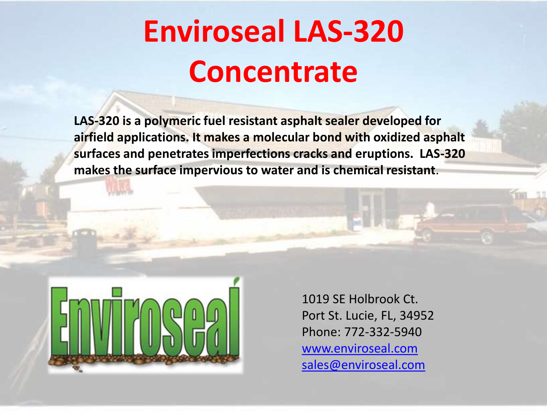# **Enviroseal LAS-320 Concentrate**

**LAS-320 is a polymeric fuel resistant asphalt sealer developed for airfield applications. It makes a molecular bond with oxidized asphalt surfaces and penetrates imperfections cracks and eruptions. LAS-320 makes the surface impervious to water and is chemical resistant**.



1019 SE Holbrook Ct. Port St. Lucie, FL, 34952 Phone: 772-332-5940 [www.enviroseal.com](http://www.enviroseal.com/) [sales@enviroseal.com](mailto:sales@enviroseal.com)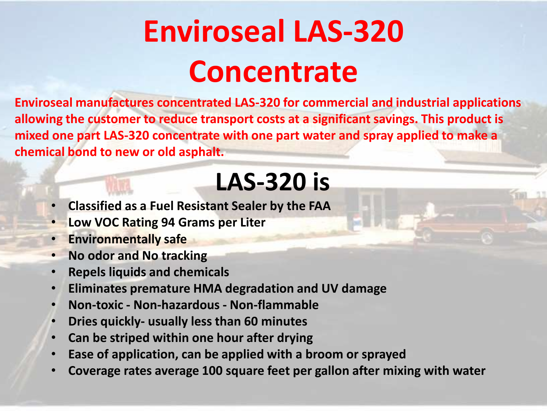# **Enviroseal LAS-320 Concentrate**

**Enviroseal manufactures concentrated LAS-320 for commercial and industrial applications allowing the customer to reduce transport costs at a significant savings. This product is mixed one part LAS-320 concentrate with one part water and spray applied to make a chemical bond to new or old asphalt.**

## **LAS-320 is**

- **Classified as a Fuel Resistant Sealer by the FAA**
- **Low VOC Rating 94 Grams per Liter**
- **Environmentally safe**
- **No odor and No tracking**
- **Repels liquids and chemicals**
- **Eliminates premature HMA degradation and UV damage**
- **Non-toxic - Non-hazardous - Non-flammable**
- **Dries quickly- usually less than 60 minutes**
- **Can be striped within one hour after drying**
- **Ease of application, can be applied with a broom or sprayed**
- **Coverage rates average 100 square feet per gallon after mixing with water**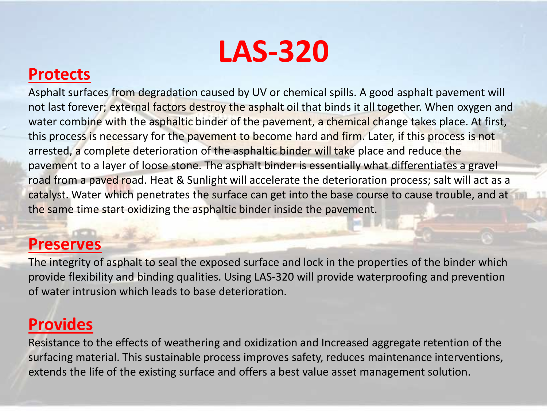

### **Protects**

Asphalt surfaces from degradation caused by UV or chemical spills. A good asphalt pavement will not last forever; external factors destroy the asphalt oil that binds it all together. When oxygen and water combine with the asphaltic binder of the pavement, a chemical change takes place. At first, this process is necessary for the pavement to become hard and firm. Later, if this process is not arrested, a complete deterioration of the asphaltic binder will take place and reduce the pavement to a layer of loose stone. The asphalt binder is essentially what differentiates a gravel road from a paved road. Heat & Sunlight will accelerate the deterioration process; salt will act as a catalyst. Water which penetrates the surface can get into the base course to cause trouble, and at the same time start oxidizing the asphaltic binder inside the pavement.

### **Preserves**

The integrity of asphalt to seal the exposed surface and lock in the properties of the binder which provide flexibility and binding qualities. Using LAS-320 will provide waterproofing and prevention of water intrusion which leads to base deterioration.

### **Provides**

Resistance to the effects of weathering and oxidization and Increased aggregate retention of the surfacing material. This sustainable process improves safety, reduces maintenance interventions, extends the life of the existing surface and offers a best value asset management solution.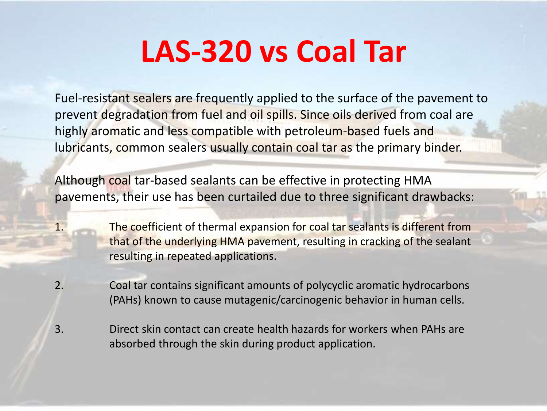## **LAS-320 vs Coal Tar**

Fuel-resistant sealers are frequently applied to the surface of the pavement to prevent degradation from fuel and oil spills. Since oils derived from coal are highly aromatic and less compatible with petroleum-based fuels and lubricants, common sealers usually contain coal tar as the primary binder.

Although coal tar-based sealants can be effective in protecting HMA pavements, their use has been curtailed due to three significant drawbacks:

1. The coefficient of thermal expansion for coal tar sealants is different from that of the underlying HMA pavement, resulting in cracking of the sealant resulting in repeated applications.

2. Coal tar contains significant amounts of polycyclic aromatic hydrocarbons (PAHs) known to cause mutagenic/carcinogenic behavior in human cells.

3. Direct skin contact can create health hazards for workers when PAHs are absorbed through the skin during product application.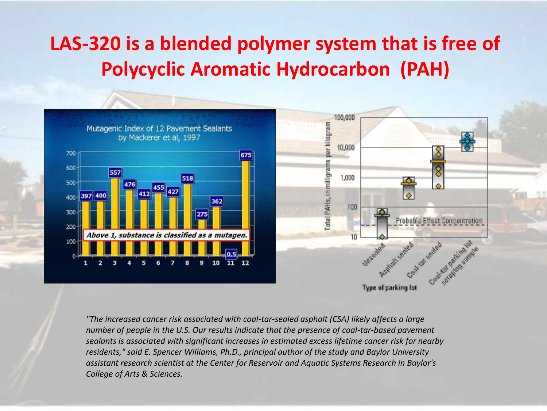### **LAS-320 is a blended polymer system that is free of Polycyclic Aromatic Hydrocarbon (PAH)**



*"The increased cancer risk associated with coal-tar-sealed asphalt (CSA) likely affects a large number of people in the U.S. Our results indicate that the presence of coal-tar-based pavement sealants is associated with significant increases in estimated excess lifetime cancer risk for nearby residents," said E. Spencer Williams, Ph.D., principal author of the study and Baylor University assistant research scientist at the Center for Reservoir and Aquatic Systems Research in Baylor's College of Arts & Sciences.*